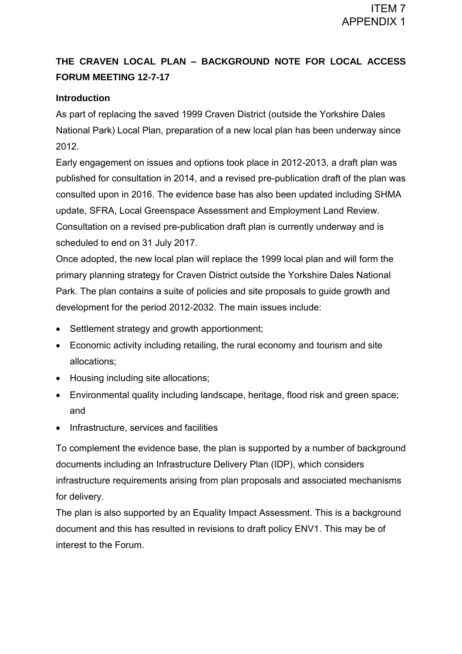# **THE CRAVEN LOCAL PLAN – BACKGROUND NOTE FOR LOCAL ACCESS FORUM MEETING 12-7-17**

# **Introduction**

As part of replacing the saved 1999 Craven District (outside the Yorkshire Dales National Park) Local Plan, preparation of a new local plan has been underway since 2012.

Early engagement on issues and options took place in 2012-2013, a draft plan was published for consultation in 2014, and a revised pre-publication draft of the plan was consulted upon in 2016. The evidence base has also been updated including SHMA update, SFRA, Local Greenspace Assessment and Employment Land Review. Consultation on a revised pre-publication draft plan is currently underway and is scheduled to end on 31 July 2017.

Once adopted, the new local plan will replace the 1999 local plan and will form the primary planning strategy for Craven District outside the Yorkshire Dales National Park. The plan contains a suite of policies and site proposals to guide growth and development for the period 2012-2032. The main issues include:

- Settlement strategy and growth apportionment;
- Economic activity including retailing, the rural economy and tourism and site allocations;
- Housing including site allocations;
- Environmental quality including landscape, heritage, flood risk and green space; and
- Infrastructure, services and facilities

To complement the evidence base, the plan is supported by a number of background documents including an Infrastructure Delivery Plan (IDP), which considers infrastructure requirements arising from plan proposals and associated mechanisms for delivery.

The plan is also supported by an Equality Impact Assessment. This is a background document and this has resulted in revisions to draft policy ENV1. This may be of interest to the Forum.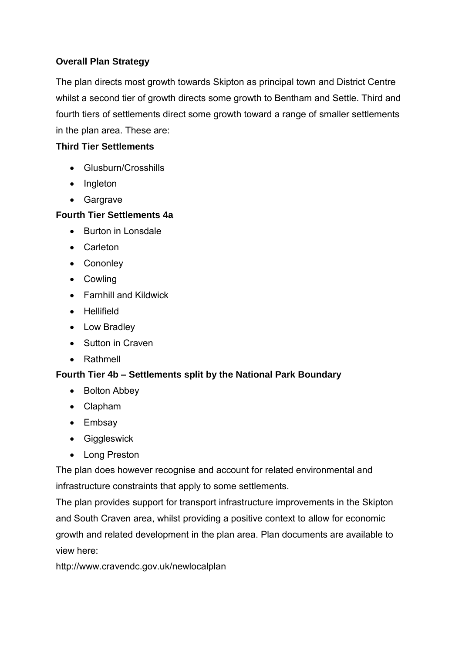### **Overall Plan Strategy**

The plan directs most growth towards Skipton as principal town and District Centre whilst a second tier of growth directs some growth to Bentham and Settle. Third and fourth tiers of settlements direct some growth toward a range of smaller settlements in the plan area. These are:

### **Third Tier Settlements**

- Glusburn/Crosshills
- Ingleton
- Gargrave

#### **Fourth Tier Settlements 4a**

- Burton in Lonsdale
- Carleton
- Cononley
- Cowling
- Farnhill and Kildwick
- **•** Hellifield
- Low Bradley
- Sutton in Craven
- Rathmell

## **Fourth Tier 4b – Settlements split by the National Park Boundary**

- Bolton Abbey
- Clapham
- Embsav
- **•** Giggleswick
- Long Preston

The plan does however recognise and account for related environmental and infrastructure constraints that apply to some settlements.

The plan provides support for transport infrastructure improvements in the Skipton and South Craven area, whilst providing a positive context to allow for economic growth and related development in the plan area. Plan documents are available to view here:

<http://www.cravendc.gov.uk/newlocalplan>